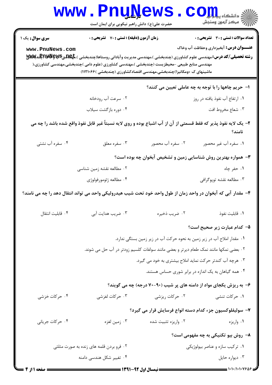|                  | <b>www.PnuNews</b><br>حضرت علی(ع): دانش راهبر نیکویی برای ایمان است                                                                                                |                                                                     | $\mathbf{C}\mathbf{O}$ ili                           |  |  |
|------------------|--------------------------------------------------------------------------------------------------------------------------------------------------------------------|---------------------------------------------------------------------|------------------------------------------------------|--|--|
| سری سوال: یک ۱   | <b>زمان آزمون (دقیقه) : تستی : 70 ٪ تشریحی : 0</b>                                                                                                                 |                                                                     | <b>تعداد سوالات : تستی : 30 ٪ تشریحی : 0</b>         |  |  |
| www.PnuNews.com  |                                                                                                                                                                    |                                                                     | <b>عنـــوان درس:</b> آبخیزداری وحفاظت آب وخاک        |  |  |
|                  |                                                                                                                                                                    |                                                                     |                                                      |  |  |
|                  | مهندسی منابع طبیعی –محیطزیست (چندبخشی )،مهندسی کشاورزی (علوم دامی )چندبخشی،مهندسی کشاورزی،(<br>ماشینهای ک ×ومکانیزا)چندبخشی،مهندسی اقتصادکشاورزی (چندبخشی )۱۲۱۰۶۶( |                                                                     |                                                      |  |  |
|                  |                                                                                                                                                                    |                                                                     |                                                      |  |  |
|                  |                                                                                                                                                                    |                                                                     | ا–  حریم چاهها را با توجه به چه عاملی تعیین می کنند؟ |  |  |
|                  | ۰۲ سرعت آب رودخانه                                                                                                                                                 |                                                                     | ۰۱ ارتفاع آب نفوذ یافته در روز                       |  |  |
|                  | ۰۴ دوره بازگشت سیلاب                                                                                                                                               |                                                                     | ۰۳ شعاع مخروط افت                                    |  |  |
|                  | ۲- یک لایه نفوذ پذیر که فقط قسمتی از آن از آب اشباع بوده و روی لایه نسبتاً غیر قابل نفوذ واقع شده باشد را چه می                                                    |                                                                     | نامند؟                                               |  |  |
| ۰۴ سفره آب نشتی  | ۰۳ سفره معلق                                                                                                                                                       | ۰۲ سفره آب محصور                                                    | ٠١. سفره آب غير محصور                                |  |  |
|                  |                                                                                                                                                                    | ۳- همواره بهترین روش شناسایی زمین و تشخیص آبخوان چه بوده است؟       |                                                      |  |  |
|                  | ۲. مطالعه نقشه زمین شناسی                                                                                                                                          |                                                                     | ۰۱ حفر چاه                                           |  |  |
|                  | ۰۴ مطالعه ژئومورفولوژي                                                                                                                                             |                                                                     | ۰۳ مطالعه نقشه توپوگرافی                             |  |  |
|                  | ۴– مقدار آبی که آبخوان در واحد زمان از طول واحد خود تحت شیب هیدرولیکی واحد می تواند انتقال دهد را چه می نامند؟                                                     |                                                                     |                                                      |  |  |
| ۰۴ قابلیت انتقال | ۰۳ ضریب هدایت آبی                                                                                                                                                  | ۰۲ ضریب ذخیره                                                       | ٠١. قابليت نفوذ                                      |  |  |
|                  |                                                                                                                                                                    |                                                                     | ۵– کدام عبارت زیر صحیح است؟                          |  |  |
|                  | ۰۱ مقدار املاح آب در زیر زمین به نحوه حرکت آب در زیر زمین بستگی ندارد.                                                                                             |                                                                     |                                                      |  |  |
|                  | ۰۲ بعضی نمکها مانند نمک طعام دیرتر و بعضی مانند سولفات کلسیم زودتر در آب حل می شوند.                                                                               |                                                                     |                                                      |  |  |
|                  |                                                                                                                                                                    | ۰۳ هرچه آب کندتر حرکت نماید املاح بیشتری به خود می گیرد.            |                                                      |  |  |
|                  |                                                                                                                                                                    | ۰۴ همه گیاهان به یک اندازه در برابر شوری حساس هستند.                |                                                      |  |  |
|                  |                                                                                                                                                                    | ۶- به ریزش یکجای مواد از دامنه های پر شیب (۹۰-۷۰ درجه) چه می گویند؟ |                                                      |  |  |
| ۰۴ حرکات خزشی    | ۰۳ حرکات لغزشی                                                                                                                                                     | ۰۲ حرکات ریزشی                                                      | ۰۱ حرکات تنشی                                        |  |  |
|                  |                                                                                                                                                                    | ۷– سولیفلوکسیون جزء کدام دسته انواع فرسایش قرار می گیرد؟            |                                                      |  |  |
| ۰۴ حرکات جریانی  | ۰۳ زمین لغزه                                                                                                                                                       | ۰۲ واریزه تثبیت شده                                                 | ۰۱ واريزه                                            |  |  |
|                  |                                                                                                                                                                    |                                                                     | ٨− روش بيو تكنيكي به چه مفهومي است؟                  |  |  |
|                  | ۰۱ ترکیب سازه و عناصر بیولوژیکی<br>۰۲ فرو بردن قلمه های زنده به صورت مثلثی                                                                                         |                                                                     |                                                      |  |  |
|                  | ۰۴ تغییر شکل هندسی دامنه                                                                                                                                           |                                                                     | ۰۳ دیواره حایل                                       |  |  |
|                  |                                                                                                                                                                    |                                                                     |                                                      |  |  |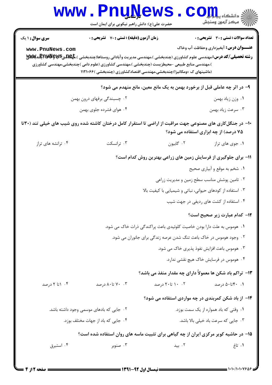| <b>WWW</b>                                                                                                                                                                                                                                                                                                                                                                                                                                                                                                                                                                                 | حضرت علی(ع): دانش راهبر نیکویی برای ایمان است                                                                                                                                                                                                                                                                                                                 |                                                                           | د دانشگاه پ <b>یاح ت<mark>و</mark>ر</b><br>7' مرڪز آزمون وسنڊش                         |  |
|--------------------------------------------------------------------------------------------------------------------------------------------------------------------------------------------------------------------------------------------------------------------------------------------------------------------------------------------------------------------------------------------------------------------------------------------------------------------------------------------------------------------------------------------------------------------------------------------|---------------------------------------------------------------------------------------------------------------------------------------------------------------------------------------------------------------------------------------------------------------------------------------------------------------------------------------------------------------|---------------------------------------------------------------------------|----------------------------------------------------------------------------------------|--|
| <b>سری سوال : ۱ یک</b><br>www.PnuNews.com                                                                                                                                                                                                                                                                                                                                                                                                                                                                                                                                                  | <b>زمان آزمون (دقیقه) : تستی : 70 قشریحی : 0</b><br><b>رشته تحصیلی/کد درس:</b> مهندسی علوم کشاورزی (چندبخشی )،مهندسی مدیریت وآبادانی روستاها(چندبخشی )، <del>مهکالمو Ş</del> WŞ لگالالپ<br>)،مهندسی منابع طبیعی -محیطزیست (چندبخشی )،مهندسی کشاورزی (علوم دامی )چندبخشی،مهندسی کشاورزی<br>(ماشینهای ک ×ومکانیزا)چندبخشی،مهندسی اقتصادکشاورزی (چندبخشی )۱۲۱۰۶۶ |                                                                           | تعداد سوالات : تستي : 30 ٪ تشريحي : 0<br><b>عنـــوان درس:</b> آبخیزداری وحفاظت آب وخاک |  |
|                                                                                                                                                                                                                                                                                                                                                                                                                                                                                                                                                                                            |                                                                                                                                                                                                                                                                                                                                                               | ۹– در اثر چه عاملی قبل از برخورد بهمن به یک مانع معین، مانع منهدم می شود؟ |                                                                                        |  |
|                                                                                                                                                                                                                                                                                                                                                                                                                                                                                                                                                                                            | ۰۲ چسبندگی برفهای درون بهمن                                                                                                                                                                                                                                                                                                                                   |                                                                           | ٠١ وزن زياد بهمن                                                                       |  |
|                                                                                                                                                                                                                                                                                                                                                                                                                                                                                                                                                                                            | ۰۴ هوای فشرده جلوی بهمن                                                                                                                                                                                                                                                                                                                                       |                                                                           | ۰۳ سرعت زياد بهمن                                                                      |  |
| ۱۰– در جنگلکاری های مصنوعی جهت مراقبت از اراضی تا استقرار کامل درختان کاشته شده روی شیب های خیلی تند (۳۰تا<br>۷۵ درصد) از چه ابزاری استفاده می شود؟                                                                                                                                                                                                                                                                                                                                                                                                                                        |                                                                                                                                                                                                                                                                                                                                                               |                                                                           |                                                                                        |  |
| ۰۴ ترانشه های تراز                                                                                                                                                                                                                                                                                                                                                                                                                                                                                                                                                                         | ۰۳ ترانسکت                                                                                                                                                                                                                                                                                                                                                    | ۰۲ گابيون                                                                 | ٠١. جوى هاى تراز                                                                       |  |
| 11- برای جلوگیری از فرسایش زمین های زراعی بهترین روش کدام است؟<br>۰۱ شخم به موقع و أبياري صحيح<br>۰۲ تامین پوشش مناسب سطح زمین و مدیریت زراعی<br>۰۳ استفاده از کودهای حیوانی، نباتی و شیمیایی با کیفیت بالا<br>۰۴ استفاده از کشت های ردیفی در جهت شیب<br>12- كدام عبارت زير صحيح است؟<br>۰۱ هوموس به علت دارا بودن خاصیت کلوئیدی باعث پراکندگی ذرات خاک می شود.<br>۰۲ وجود هوموس در خاک باعث تنگ شدن عرصه زندگی برای جانوران می شود.<br>۰۳ هوموس باعث افزایش نفوذ پذیری خاک می شود.<br>۰۴ هوموس در فرسایش خاک هیچ نقشی ندارد.<br>۱۳- تراکم باد شکن ها معمولاً دارای چه مقدار منفذ می باشد؟ |                                                                                                                                                                                                                                                                                                                                                               |                                                                           |                                                                                        |  |
| ۰۴ ۱ تا ۲ درصد                                                                                                                                                                                                                                                                                                                                                                                                                                                                                                                                                                             | ۰۳ تا۸۰ درصد                                                                                                                                                                                                                                                                                                                                                  | ۰۲ تا۲۰ درصد                                                              | ۰۱ ۴۰ تا۵۰ درصد                                                                        |  |
|                                                                                                                                                                                                                                                                                                                                                                                                                                                                                                                                                                                            |                                                                                                                                                                                                                                                                                                                                                               | ۱۴– از باد شکن کمربندی در چه مواردی استفاده می شود؟                       |                                                                                        |  |
|                                                                                                                                                                                                                                                                                                                                                                                                                                                                                                                                                                                            | ۰۲ جایی که بادهای موسمی وجود داشته باشد.                                                                                                                                                                                                                                                                                                                      |                                                                           | ۰۱ وقتی که باد همواره از یک سمت بوزد.                                                  |  |
| ۰۴ جایی که باد از جهات مختلف بوزد.<br>۰۳ جایی که سرعت باد خیلی بالا باشد.                                                                                                                                                                                                                                                                                                                                                                                                                                                                                                                  |                                                                                                                                                                                                                                                                                                                                                               |                                                                           |                                                                                        |  |
| ۱۵– در حاشیه کویر مرکزی ایران از چه گیاهی برای تثبیت ماسه های روان استفاده شده است؟                                                                                                                                                                                                                                                                                                                                                                                                                                                                                                        |                                                                                                                                                                                                                                                                                                                                                               |                                                                           |                                                                                        |  |
| ۰۴ استبرق                                                                                                                                                                                                                                                                                                                                                                                                                                                                                                                                                                                  | ۰۳ صنوبر                                                                                                                                                                                                                                                                                                                                                      | ۰۲ بید                                                                    | ۰۱ تاغ                                                                                 |  |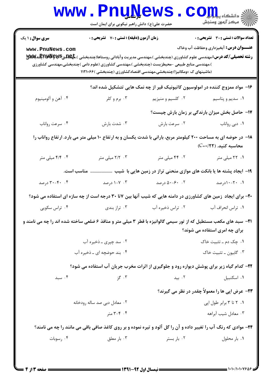|                                                                                                                                          | ک شاسی<br>حضرت علی(ع): دانش راهبر نیکویی برای ایمان است |                                                                                                                                                                     | دانشگاه پ <b>یا با تار</b><br>أأأ " مركز آزمون وسنجش                                          |  |
|------------------------------------------------------------------------------------------------------------------------------------------|---------------------------------------------------------|---------------------------------------------------------------------------------------------------------------------------------------------------------------------|-----------------------------------------------------------------------------------------------|--|
| <b>سری سوال : ۱ یک</b><br>www.PnuNews.com                                                                                                | <b>زمان آزمون (دقیقه) : تستی : 70 قشریحی : 0</b>        | )،مهندسی منابع طبیعی -محیطزیست (چندبخشی )،مهندسی کشاورزی (علوم دامی )چندبخشی،مهندسی کشاورزی<br>(ماشینهای ک ×ومکانیزا)چندبخشی،مهندسی اقتصادکشاورزی (چندبخشی )۱۱۲۱۰۶۶ | <b>تعداد سوالات : تستي : 30 ٪ تشريحي : 0</b><br><b>عنـــوان درس:</b> آبخیزداری وحفاظت آب وخاک |  |
|                                                                                                                                          |                                                         | ۱۶- مواد ممزوج کننده در امولوسیون کاتیونیک قیر از چه نمک هایی تتشکیل شده اند؟                                                                                       |                                                                                               |  |
| ۰۴ آهن و آلومينيوم                                                                                                                       | ۰۳ برم و کلر                                            | ۰۲ کلسیم و منیزیم                                                                                                                                                   | ۰۱ سدیم و پتاسیم                                                                              |  |
|                                                                                                                                          |                                                         |                                                                                                                                                                     | ۱۷- حاصل بخش میزان بارندگی بر زمان بارش چیست؟                                                 |  |
| ۰۴ سرعت رواناب                                                                                                                           | ۰۳ شدت بارش                                             | ۰۲ سرعت بارش                                                                                                                                                        | ۰۱ دبی رواناب                                                                                 |  |
| ۱۸– در حوضه ای به مساحت ۲۰۰ کیلومتر مربع، بارانی با شدت یکسان و به ارتفاع ۱۰ میلی متر می بارد. ارتفاع رواناب را<br>محاسبه کنید. (C=+/۲۲) |                                                         |                                                                                                                                                                     |                                                                                               |  |
| ۴.۴ ۴/۴ میلی متر                                                                                                                         | ۰۳ ۲/۲ میلی متر                                         | ۰۲ ۴۴ میلی متر                                                                                                                                                      | ۰۱ ۲۲ میلی متر                                                                                |  |
| ۱۹- ایجاد پشته ها یا بانکت های موازی منحنی تراز در زمین هایی با شیب  مناسب است.                                                          |                                                         |                                                                                                                                                                     |                                                                                               |  |
| ۰۴ - ۳۰-۳۰ درصد                                                                                                                          | ۰۳ - ۱-۷ درصد                                           | ۰۲ - ۵۰-۵۰ درصد                                                                                                                                                     | ۰۱ - ۲۰-۱۰درصد                                                                                |  |
|                                                                                                                                          |                                                         | <b>+۲-</b> برای ایجاد زمین های کشاورزی در دامنه هایی که شیب آنها بین ۷تا ۳۰ درجه است از چه سازه ای استفاده می شود؟                                                  |                                                                                               |  |
| ۰۴ تراس سکویی                                                                                                                            | ۰۳ تراز بندی                                            | ۰۲ تراس ذخیره آب                                                                                                                                                    | ٠١ تراس انحراف آب                                                                             |  |
| <b>۲۱</b> - سبد های مکعب مستطیل که از تور سیمی گالوانیزه با قطر ۳ میلی متر و منافذ ۶ ضلعی ساخته شده اند را چه می نامند و                 |                                                         |                                                                                                                                                                     | برای چه امری استفاده می شوند؟                                                                 |  |
|                                                                                                                                          | ۲. سد چیری ـ ذخیره آب                                   |                                                                                                                                                                     | ۰۱ چک دم ـ تثبیت خاک                                                                          |  |
|                                                                                                                                          | ۰۴ بند حوضچه ای ـ ذخیره آب                              |                                                                                                                                                                     | ۰۳ گابيون ـ تثبيت خاک                                                                         |  |
|                                                                                                                                          |                                                         | ۲۲- کدام گیاه زیر برای پوشش دیواره رود و جلوگیری از اثرات مخرب جریان آب استفاده می شود؟                                                                             |                                                                                               |  |
| ۰۴ سېد                                                                                                                                   | ۰۳ گز                                                   | ۰۲ بید                                                                                                                                                              | ۰۱ اسکنبیل                                                                                    |  |
|                                                                                                                                          |                                                         |                                                                                                                                                                     | <b>۲۳</b> - عرض اپی ها را معمولاً چقدر در نظر می گیرند؟                                       |  |
|                                                                                                                                          | ۰۲ معادل دبی صد ساله رودخانه                            |                                                                                                                                                                     | ٠١. ٢ تا ٣ برابر طول اپي                                                                      |  |
|                                                                                                                                          | ۰۴ - ۳-۳ متر                                            |                                                                                                                                                                     | ۰۳ معادل شيب آبراهه                                                                           |  |
| <b>34-</b> موادی که رنگ آب را تغییر داده و آن را گل آلود و تیره نموده و بر روی کاغذ صافی باقی می مانند را چه می نامند؟                   |                                                         |                                                                                                                                                                     |                                                                                               |  |
| ۰۴ رسوبات                                                                                                                                | ۰۳ بار معلق                                             | ۰۲ بار بستر                                                                                                                                                         | ۰۱ بار محلول                                                                                  |  |
|                                                                                                                                          |                                                         |                                                                                                                                                                     |                                                                                               |  |